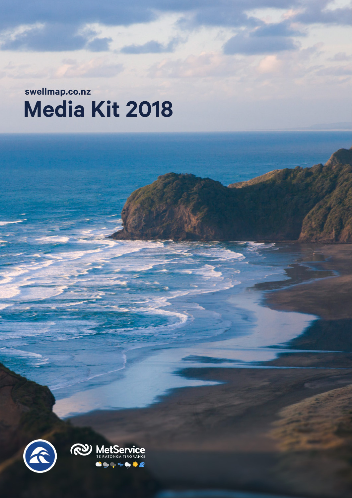**Media Kit 2018 swellmap.co.nz**

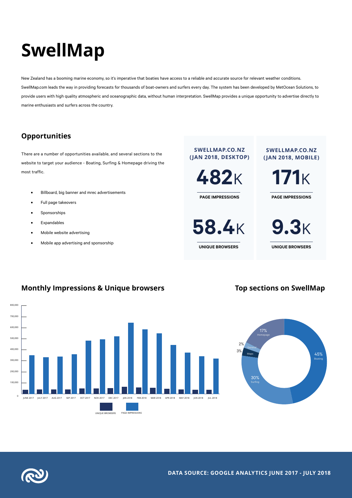# **SwellMap**

New Zealand has a booming marine economy, so it's imperative that boaties have access to a reliable and accurate source for relevant weather conditions. SwellMap.com leads the way in providing forecasts for thousands of boat-owners and surfers every day. The system has been developed by MetOcean Solutions, to provide users with high quality atmospheric and oceanographic data, without human interpretation. SwellMap provides a unique opportunity to advertise directly to marine enthusiasts and surfers across the country.

## **Opportunities**

There are a number of opportunities available, and several sections to the website to target your audience - Boating, Surfing & Homepage driving the most traffic.

- Billboard, big banner and mrec advertisements
- Full page takeovers
- **Sponsorships**
- **Expandables**

800,000

- Mobile website advertising
- Mobile app advertising and sponsorship

**SWELLMAP.CO.NZ (JAN 2018, DESKTOP)**

**482**<sup>K</sup>

**PAGE IMPRESSIONS**

**58.4**<sup>K</sup>

**UNIQUE BROWSERS**

#### **SWELLMAP.CO.NZ (JAN 2018, MOBILE)**

**171**K

**PAGE IMPRESSIONS**

**9.3**<sup>K</sup> **UNIQUE BROWSERS**

## **Monthly Impressions & Unique browsers Top sections on SwellMap**